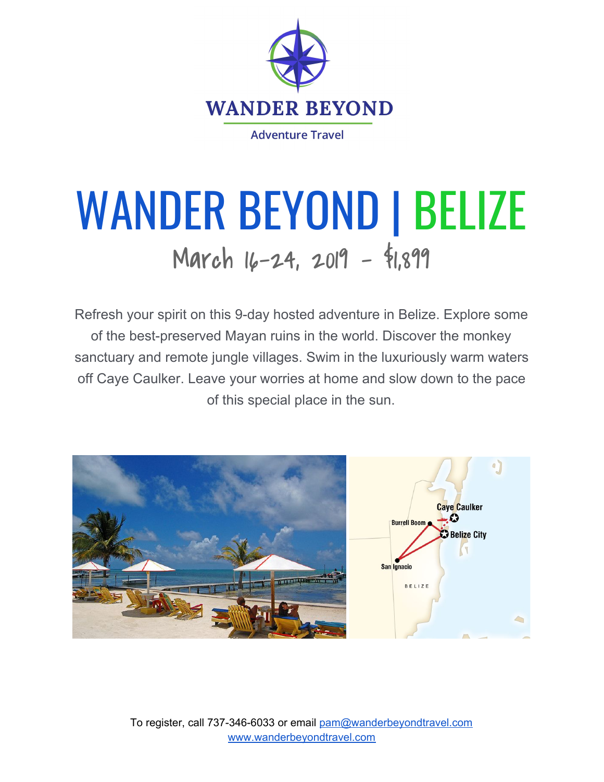

## WANDER BEYOND | BELIZE March 16-24, 2019 - \$1,899

Refresh your spirit on this 9-day hosted adventure in Belize. Explore some of the best-preserved Mayan ruins in the world. Discover the monkey sanctuary and remote jungle villages. Swim in the luxuriously warm waters off Caye Caulker. Leave your worries at home and slow down to the pace of this special place in the sun.



To register, call 737-346-6033 or email [pam@wanderbeyondtravel.com](mailto:pam@wanderbeyondtravel.com) [www.wanderbeyondtravel.com](http://www.wanderbeyondtravel.com/)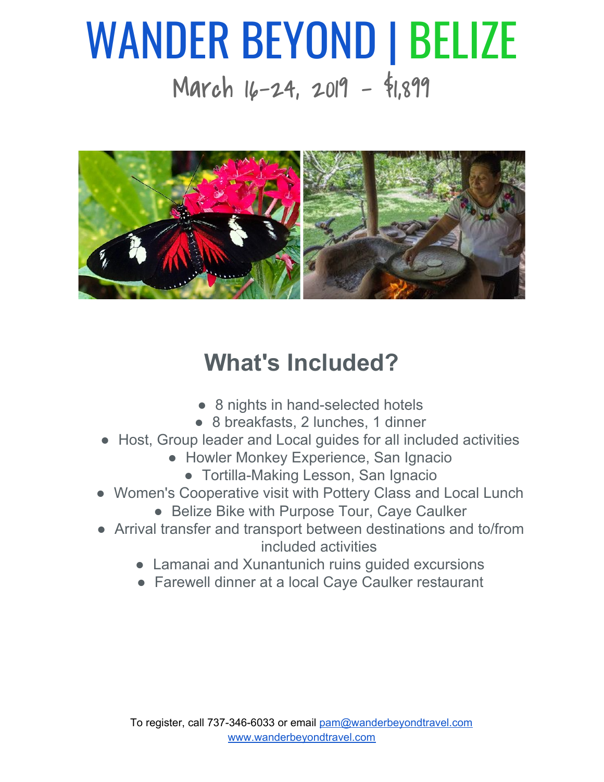## WANDER BEYOND | BELIZE March 16-24, 2019 - \$1,899



## **What's Included?**

- 8 nights in hand-selected hotels
- 8 breakfasts, 2 lunches, 1 dinner
- Host, Group leader and Local guides for all included activities
	- Howler Monkey Experience, San Ignacio
		- Tortilla-Making Lesson, San Ignacio
- Women's Cooperative visit with Pottery Class and Local Lunch
	- Belize Bike with Purpose Tour, Caye Caulker
- Arrival transfer and transport between destinations and to/from included activities
	- Lamanai and Xunantunich ruins quided excursions
	- Farewell dinner at a local Caye Caulker restaurant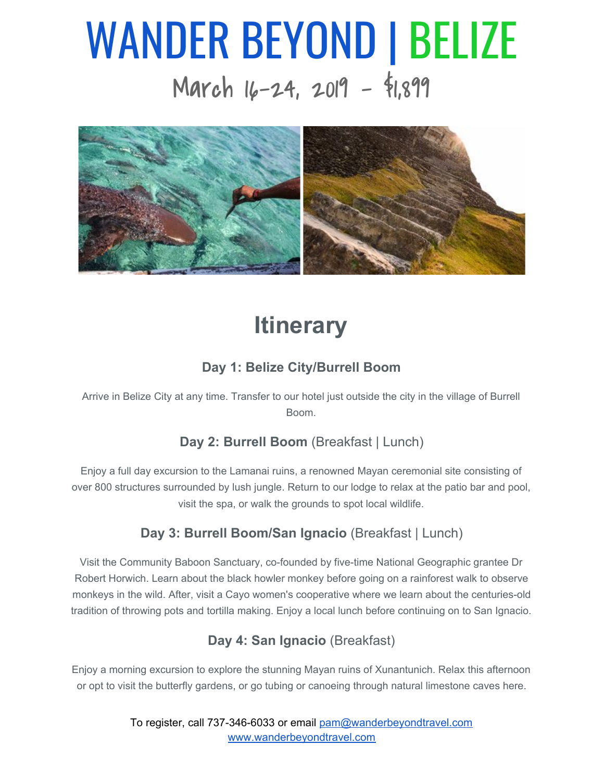# WANDER BEYOND | BELIZE

March 16-24, 2019 - \$1,899



### **Itinerary**

#### **Day 1: Belize City/Burrell Boom**

Arrive in Belize City at any time. Transfer to our hotel just outside the city in the village of Burrell Boom.

#### **Day 2: Burrell Boom** (Breakfast | Lunch)

Enjoy a full day excursion to the Lamanai ruins, a renowned Mayan ceremonial site consisting of over 800 structures surrounded by lush jungle. Return to our lodge to relax at the patio bar and pool, visit the spa, or walk the grounds to spot local wildlife.

#### **Day 3: Burrell Boom/San Ignacio** (Breakfast | Lunch)

Visit the Community Baboon Sanctuary, co-founded by five-time National Geographic grantee Dr Robert Horwich. Learn about the black howler monkey before going on a rainforest walk to observe monkeys in the wild. After, visit a Cayo women's cooperative where we learn about the centuries-old tradition of throwing pots and tortilla making. Enjoy a local lunch before continuing on to San Ignacio.

#### **Day 4: San Ignacio** (Breakfast)

Enjoy a morning excursion to explore the stunning Mayan ruins of Xunantunich. Relax this afternoon or opt to visit the butterfly gardens, or go tubing or canoeing through natural limestone caves here.

> To register, call 737-346-6033 or email [pam@wanderbeyondtravel.com](mailto:pam@wanderbeyondtravel.com) [www.wanderbeyondtravel.com](http://www.wanderbeyondtravel.com/)